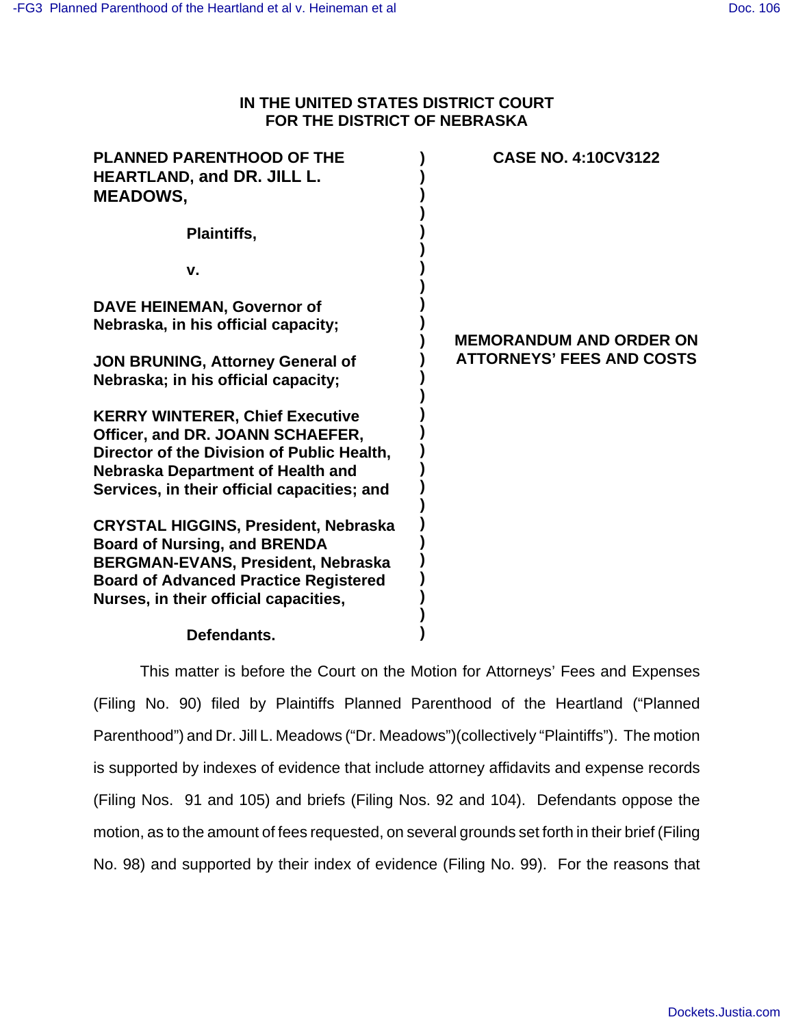# **IN THE UNITED STATES DISTRICT COURT FOR THE DISTRICT OF NEBRASKA**

| <b>PLANNED PARENTHOOD OF THE</b><br>HEARTLAND, and DR. JILL L.<br><b>MEADOWS,</b>  | <b>CASE NO. 4:10CV3122</b>       |
|------------------------------------------------------------------------------------|----------------------------------|
| Plaintiffs,                                                                        |                                  |
| v.                                                                                 |                                  |
| DAVE HEINEMAN, Governor of<br>Nebraska, in his official capacity;                  | <b>MEMORANDUM AND ORDER ON</b>   |
| <b>JON BRUNING, Attorney General of</b><br>Nebraska; in his official capacity;     | <b>ATTORNEYS' FEES AND COSTS</b> |
| <b>KERRY WINTERER, Chief Executive</b>                                             |                                  |
| Officer, and DR. JOANN SCHAEFER,<br>Director of the Division of Public Health,     |                                  |
| <b>Nebraska Department of Health and</b>                                           |                                  |
| Services, in their official capacities; and                                        |                                  |
| <b>CRYSTAL HIGGINS, President, Nebraska</b><br><b>Board of Nursing, and BRENDA</b> |                                  |
| <b>BERGMAN-EVANS, President, Nebraska</b>                                          |                                  |
| <b>Board of Advanced Practice Registered</b>                                       |                                  |
| Nurses, in their official capacities,                                              |                                  |
| Defendants.                                                                        |                                  |

**Defendants.**

This matter is before the Court on the Motion for Attorneys' Fees and Expenses (Filing No. 90) filed by Plaintiffs Planned Parenthood of the Heartland ("Planned Parenthood") and Dr. Jill L. Meadows ("Dr. Meadows")(collectively "Plaintiffs"). The motion is supported by indexes of evidence that include attorney affidavits and expense records (Filing Nos. 91 and 105) and briefs (Filing Nos. 92 and 104). Defendants oppose the motion, as to the amount of fees requested, on several grounds set forth in their brief (Filing No. 98) and supported by their index of evidence (Filing No. 99). For the reasons that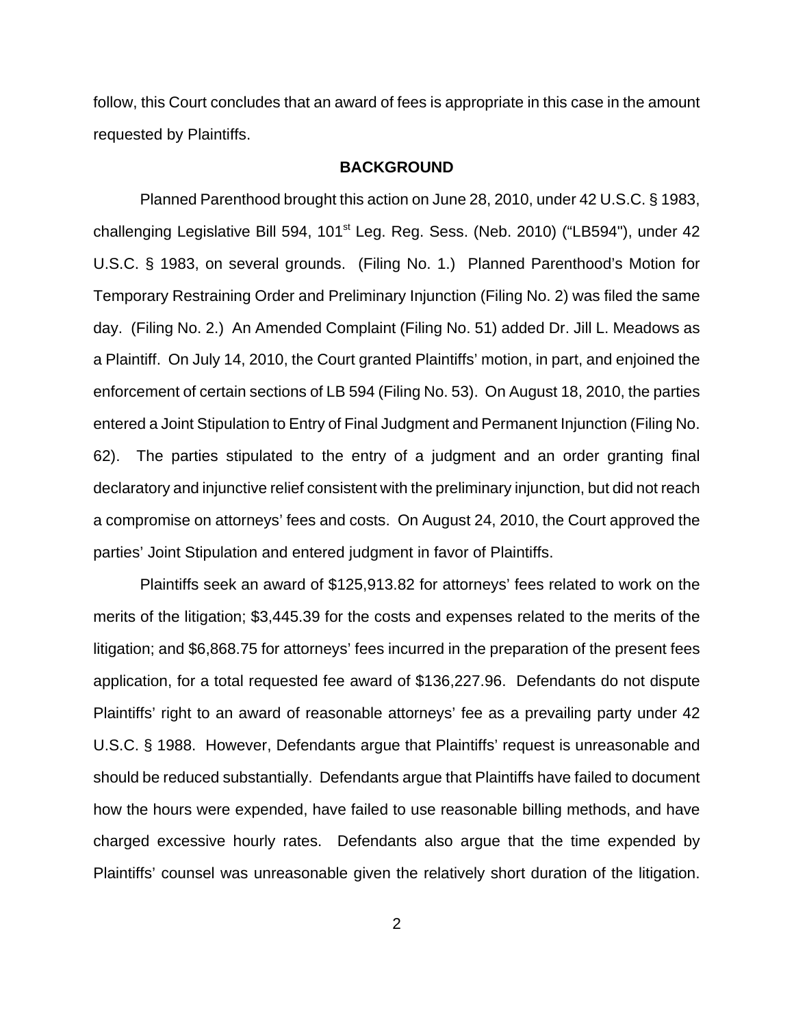follow, this Court concludes that an award of fees is appropriate in this case in the amount requested by Plaintiffs.

### **BACKGROUND**

Planned Parenthood brought this action on June 28, 2010, under 42 U.S.C. § 1983, challenging Legislative Bill 594, 101<sup>st</sup> Leg. Reg. Sess. (Neb. 2010) ("LB594"), under 42 U.S.C. § 1983, on several grounds. (Filing No. 1.) Planned Parenthood's Motion for Temporary Restraining Order and Preliminary Injunction (Filing No. 2) was filed the same day. (Filing No. 2.) An Amended Complaint (Filing No. 51) added Dr. Jill L. Meadows as a Plaintiff. On July 14, 2010, the Court granted Plaintiffs' motion, in part, and enjoined the enforcement of certain sections of LB 594 (Filing No. 53). On August 18, 2010, the parties entered a Joint Stipulation to Entry of Final Judgment and Permanent Injunction (Filing No. 62). The parties stipulated to the entry of a judgment and an order granting final declaratory and injunctive relief consistent with the preliminary injunction, but did not reach a compromise on attorneys' fees and costs. On August 24, 2010, the Court approved the parties' Joint Stipulation and entered judgment in favor of Plaintiffs.

Plaintiffs seek an award of \$125,913.82 for attorneys' fees related to work on the merits of the litigation; \$3,445.39 for the costs and expenses related to the merits of the litigation; and \$6,868.75 for attorneys' fees incurred in the preparation of the present fees application, for a total requested fee award of \$136,227.96. Defendants do not dispute Plaintiffs' right to an award of reasonable attorneys' fee as a prevailing party under 42 U.S.C. § 1988. However, Defendants argue that Plaintiffs' request is unreasonable and should be reduced substantially. Defendants argue that Plaintiffs have failed to document how the hours were expended, have failed to use reasonable billing methods, and have charged excessive hourly rates. Defendants also argue that the time expended by Plaintiffs' counsel was unreasonable given the relatively short duration of the litigation.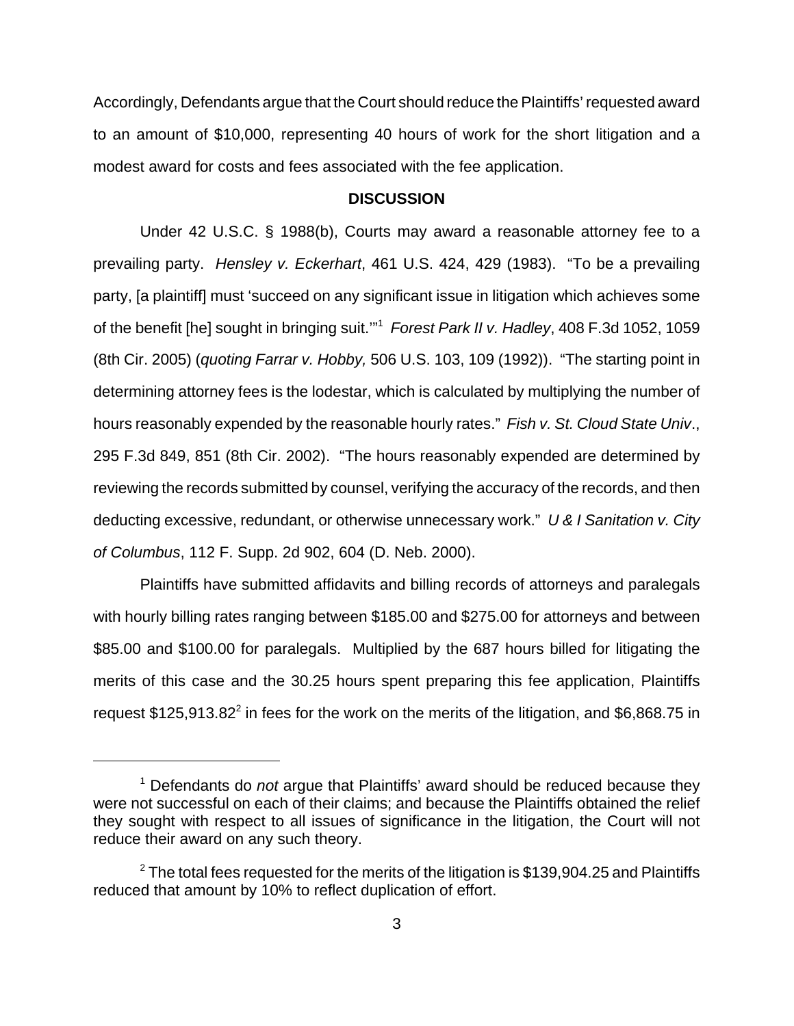Accordingly, Defendants argue that the Court should reduce the Plaintiffs' requested award to an amount of \$10,000, representing 40 hours of work for the short litigation and a modest award for costs and fees associated with the fee application.

#### **DISCUSSION**

Under 42 U.S.C. § 1988(b), Courts may award a reasonable attorney fee to a prevailing party. Hensley v. Eckerhart, 461 U.S. 424, 429 (1983). "To be a prevailing party, [a plaintiff] must 'succeed on any significant issue in litigation which achieves some of the benefit [he] sought in bringing suit."<sup>1</sup> Forest Park II v. Hadley, 408 F.3d 1052, 1059 (8th Cir. 2005) (quoting Farrar v. Hobby, 506 U.S. 103, 109 (1992)). "The starting point in determining attorney fees is the lodestar, which is calculated by multiplying the number of hours reasonably expended by the reasonable hourly rates." Fish v. St. Cloud State Univ., 295 F.3d 849, 851 (8th Cir. 2002). "The hours reasonably expended are determined by reviewing the records submitted by counsel, verifying the accuracy of the records, and then deducting excessive, redundant, or otherwise unnecessary work." U & I Sanitation v. City of Columbus, 112 F. Supp. 2d 902, 604 (D. Neb. 2000).

Plaintiffs have submitted affidavits and billing records of attorneys and paralegals with hourly billing rates ranging between \$185.00 and \$275.00 for attorneys and between \$85.00 and \$100.00 for paralegals. Multiplied by the 687 hours billed for litigating the merits of this case and the 30.25 hours spent preparing this fee application, Plaintiffs request \$125,913.82<sup>2</sup> in fees for the work on the merits of the litigation, and \$6,868.75 in

<sup>&</sup>lt;sup>1</sup> Defendants do not argue that Plaintiffs' award should be reduced because they were not successful on each of their claims; and because the Plaintiffs obtained the relief they sought with respect to all issues of significance in the litigation, the Court will not reduce their award on any such theory.

 $^2$  The total fees requested for the merits of the litigation is \$139,904.25 and Plaintiffs reduced that amount by 10% to reflect duplication of effort.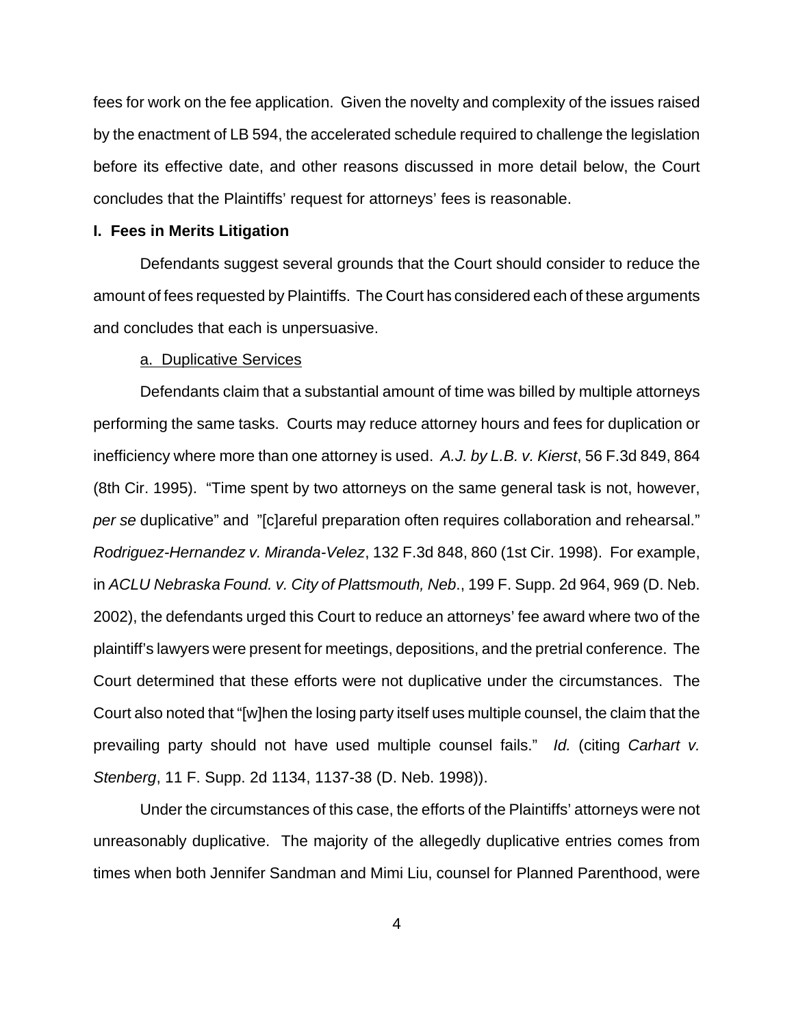fees for work on the fee application. Given the novelty and complexity of the issues raised by the enactment of LB 594, the accelerated schedule required to challenge the legislation before its effective date, and other reasons discussed in more detail below, the Court concludes that the Plaintiffs' request for attorneys' fees is reasonable.

### **I. Fees in Merits Litigation**

Defendants suggest several grounds that the Court should consider to reduce the amount of fees requested by Plaintiffs. The Court has considered each of these arguments and concludes that each is unpersuasive.

#### a. Duplicative Services

Defendants claim that a substantial amount of time was billed by multiple attorneys performing the same tasks. Courts may reduce attorney hours and fees for duplication or inefficiency where more than one attorney is used. A.J. by L.B. v. Kierst, 56 F.3d 849, 864 (8th Cir. 1995). "Time spent by two attorneys on the same general task is not, however, per se duplicative" and "[c]areful preparation often requires collaboration and rehearsal." Rodriguez-Hernandez v. Miranda-Velez, 132 F.3d 848, 860 (1st Cir. 1998). For example, in ACLU Nebraska Found. v. City of Plattsmouth, Neb., 199 F. Supp. 2d 964, 969 (D. Neb. 2002), the defendants urged this Court to reduce an attorneys' fee award where two of the plaintiff's lawyers were present for meetings, depositions, and the pretrial conference. The Court determined that these efforts were not duplicative under the circumstances. The Court also noted that "[w]hen the losing party itself uses multiple counsel, the claim that the prevailing party should not have used multiple counsel fails." Id. (citing Carhart v. Stenberg, 11 F. Supp. 2d 1134, 1137-38 (D. Neb. 1998)).

Under the circumstances of this case, the efforts of the Plaintiffs' attorneys were not unreasonably duplicative. The majority of the allegedly duplicative entries comes from times when both Jennifer Sandman and Mimi Liu, counsel for Planned Parenthood, were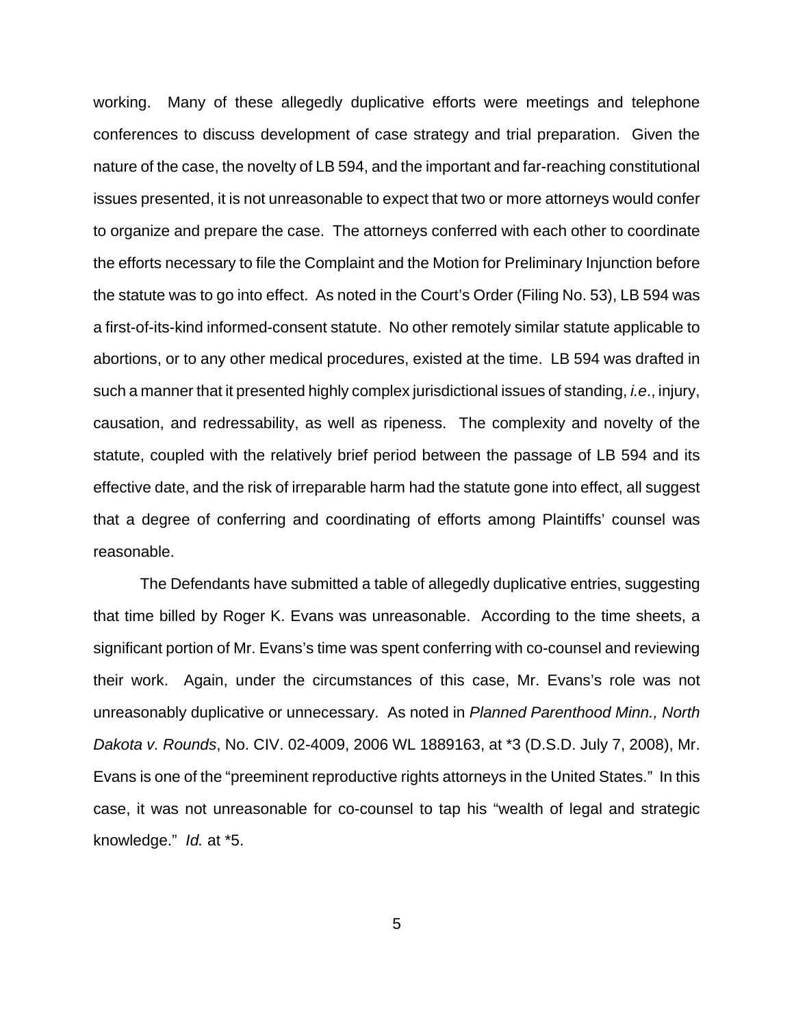working. Many of these allegedly duplicative efforts were meetings and telephone conferences to discuss development of case strategy and trial preparation. Given the nature of the case, the novelty of LB 594, and the important and far-reaching constitutional issues presented, it is not unreasonable to expect that two or more attorneys would confer to organize and prepare the case. The attorneys conferred with each other to coordinate the efforts necessary to file the Complaint and the Motion for Preliminary Injunction before the statute was to go into effect. As noted in the Court's Order (Filing No. 53), LB 594 was a first-of-its-kind informed-consent statute. No other remotely similar statute applicable to abortions, or to any other medical procedures, existed at the time. LB 594 was drafted in such a manner that it presented highly complex jurisdictional issues of standing, *i.e.*, injury, causation, and redressability, as well as ripeness. The complexity and novelty of the statute, coupled with the relatively brief period between the passage of LB 594 and its effective date, and the risk of irreparable harm had the statute gone into effect, all suggest that a degree of conferring and coordinating of efforts among Plaintiffs' counsel was reasonable.

The Defendants have submitted a table of allegedly duplicative entries, suggesting that time billed by Roger K. Evans was unreasonable. According to the time sheets, a significant portion of Mr. Evans's time was spent conferring with co-counsel and reviewing their work. Again, under the circumstances of this case, Mr. Evans's role was not unreasonably duplicative or unnecessary. As noted in Planned Parenthood Minn., North Dakota v. Rounds, No. CIV. 02-4009, 2006 WL 1889163, at \*3 (D.S.D. July 7, 2008), Mr. Evans is one of the "preeminent reproductive rights attorneys in the United States." In this case, it was not unreasonable for co-counsel to tap his "wealth of legal and strategic knowledge." Id. at \*5.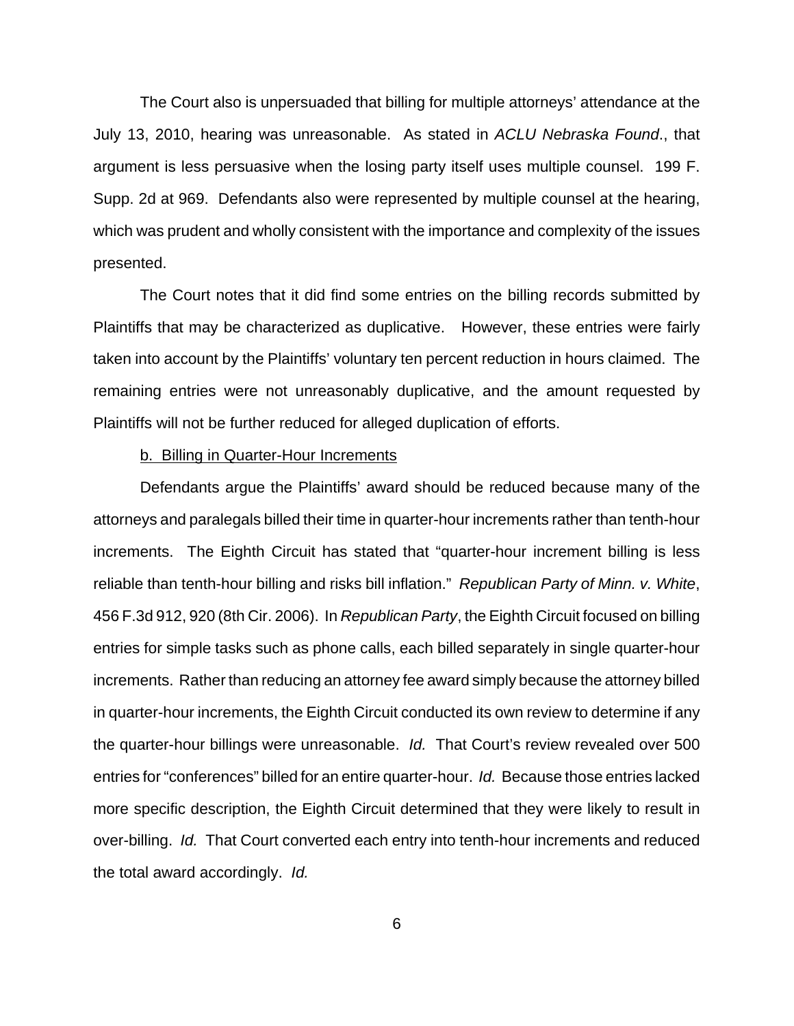The Court also is unpersuaded that billing for multiple attorneys' attendance at the July 13, 2010, hearing was unreasonable. As stated in ACLU Nebraska Found., that argument is less persuasive when the losing party itself uses multiple counsel. 199 F. Supp. 2d at 969. Defendants also were represented by multiple counsel at the hearing, which was prudent and wholly consistent with the importance and complexity of the issues presented.

The Court notes that it did find some entries on the billing records submitted by Plaintiffs that may be characterized as duplicative. However, these entries were fairly taken into account by the Plaintiffs' voluntary ten percent reduction in hours claimed. The remaining entries were not unreasonably duplicative, and the amount requested by Plaintiffs will not be further reduced for alleged duplication of efforts.

### b. Billing in Quarter-Hour Increments

Defendants argue the Plaintiffs' award should be reduced because many of the attorneys and paralegals billed their time in quarter-hour increments rather than tenth-hour increments. The Eighth Circuit has stated that "quarter-hour increment billing is less reliable than tenth-hour billing and risks bill inflation." Republican Party of Minn. v. White, 456 F.3d 912, 920 (8th Cir. 2006). In Republican Party, the Eighth Circuit focused on billing entries for simple tasks such as phone calls, each billed separately in single quarter-hour increments. Rather than reducing an attorney fee award simply because the attorney billed in quarter-hour increments, the Eighth Circuit conducted its own review to determine if any the quarter-hour billings were unreasonable. Id. That Court's review revealed over 500 entries for "conferences" billed for an entire quarter-hour. Id. Because those entries lacked more specific description, the Eighth Circuit determined that they were likely to result in over-billing. Id. That Court converted each entry into tenth-hour increments and reduced the total award accordingly. Id.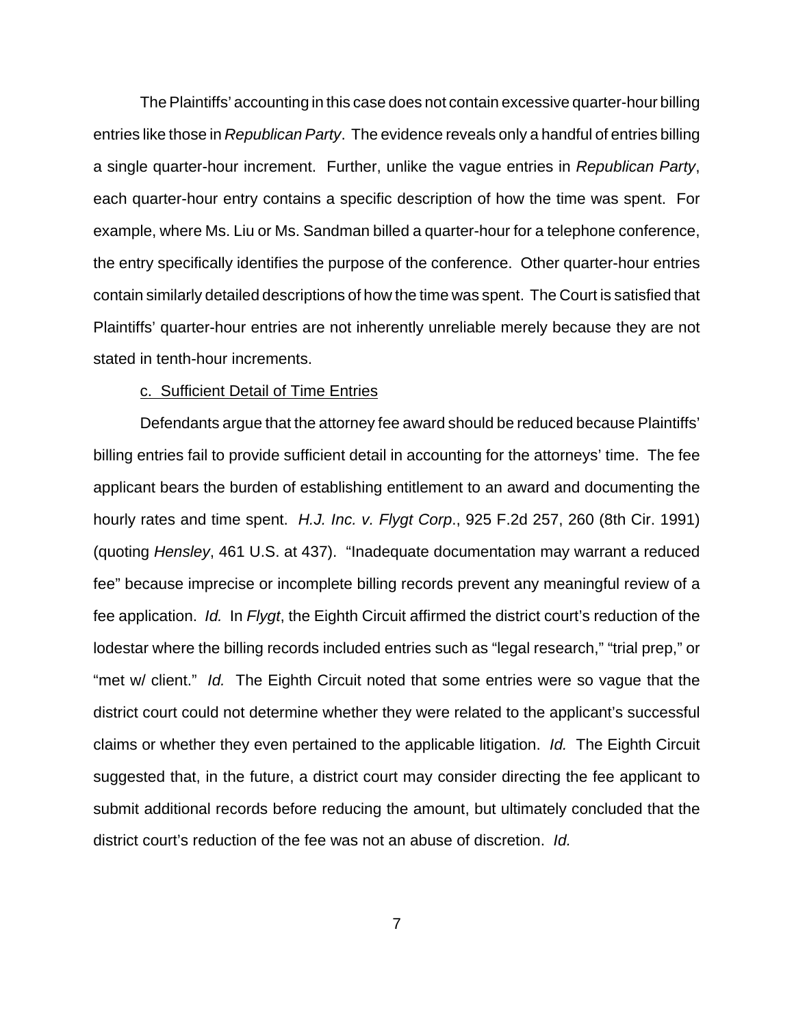The Plaintiffs' accounting in this case does not contain excessive quarter-hour billing entries like those in Republican Party. The evidence reveals only a handful of entries billing a single quarter-hour increment. Further, unlike the vague entries in Republican Party, each quarter-hour entry contains a specific description of how the time was spent. For example, where Ms. Liu or Ms. Sandman billed a quarter-hour for a telephone conference, the entry specifically identifies the purpose of the conference. Other quarter-hour entries contain similarly detailed descriptions of how the time was spent. The Court is satisfied that Plaintiffs' quarter-hour entries are not inherently unreliable merely because they are not stated in tenth-hour increments.

### c. Sufficient Detail of Time Entries

Defendants argue that the attorney fee award should be reduced because Plaintiffs' billing entries fail to provide sufficient detail in accounting for the attorneys' time. The fee applicant bears the burden of establishing entitlement to an award and documenting the hourly rates and time spent. H.J. Inc. v. Flygt Corp., 925 F.2d 257, 260 (8th Cir. 1991) (quoting Hensley, 461 U.S. at 437). "Inadequate documentation may warrant a reduced fee" because imprecise or incomplete billing records prevent any meaningful review of a fee application. Id. In Flygt, the Eighth Circuit affirmed the district court's reduction of the lodestar where the billing records included entries such as "legal research," "trial prep," or "met w/ client." Id. The Eighth Circuit noted that some entries were so vague that the district court could not determine whether they were related to the applicant's successful claims or whether they even pertained to the applicable litigation. Id. The Eighth Circuit suggested that, in the future, a district court may consider directing the fee applicant to submit additional records before reducing the amount, but ultimately concluded that the district court's reduction of the fee was not an abuse of discretion. Id.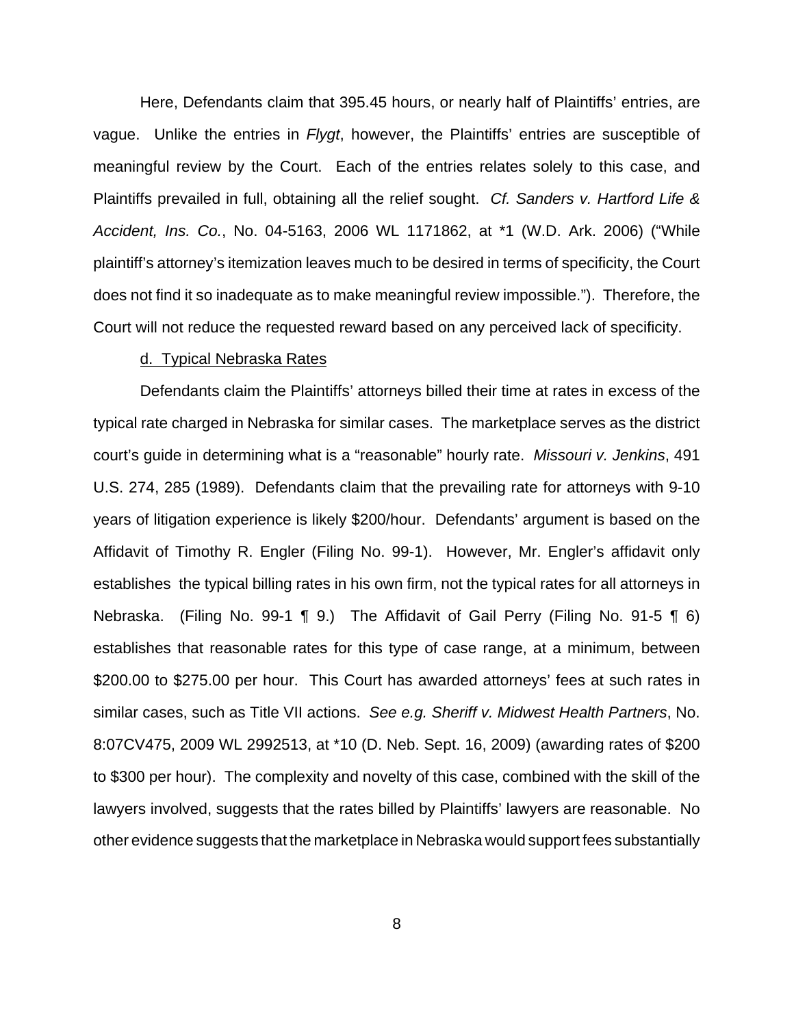Here, Defendants claim that 395.45 hours, or nearly half of Plaintiffs' entries, are vague. Unlike the entries in Flygt, however, the Plaintiffs' entries are susceptible of meaningful review by the Court. Each of the entries relates solely to this case, and Plaintiffs prevailed in full, obtaining all the relief sought. Cf. Sanders v. Hartford Life & Accident, Ins. Co., No. 04-5163, 2006 WL 1171862, at \*1 (W.D. Ark. 2006) ("While plaintiff's attorney's itemization leaves much to be desired in terms of specificity, the Court does not find it so inadequate as to make meaningful review impossible."). Therefore, the Court will not reduce the requested reward based on any perceived lack of specificity.

### d. Typical Nebraska Rates

Defendants claim the Plaintiffs' attorneys billed their time at rates in excess of the typical rate charged in Nebraska for similar cases. The marketplace serves as the district court's guide in determining what is a "reasonable" hourly rate. Missouri v. Jenkins, 491 U.S. 274, 285 (1989). Defendants claim that the prevailing rate for attorneys with 9-10 years of litigation experience is likely \$200/hour. Defendants' argument is based on the Affidavit of Timothy R. Engler (Filing No. 99-1). However, Mr. Engler's affidavit only establishes the typical billing rates in his own firm, not the typical rates for all attorneys in Nebraska. (Filing No. 99-1 ¶ 9.) The Affidavit of Gail Perry (Filing No. 91-5 ¶ 6) establishes that reasonable rates for this type of case range, at a minimum, between \$200.00 to \$275.00 per hour. This Court has awarded attorneys' fees at such rates in similar cases, such as Title VII actions. See e.g. Sheriff v. Midwest Health Partners, No. 8:07CV475, 2009 WL 2992513, at \*10 (D. Neb. Sept. 16, 2009) (awarding rates of \$200 to \$300 per hour). The complexity and novelty of this case, combined with the skill of the lawyers involved, suggests that the rates billed by Plaintiffs' lawyers are reasonable. No other evidence suggests that the marketplace in Nebraska would support fees substantially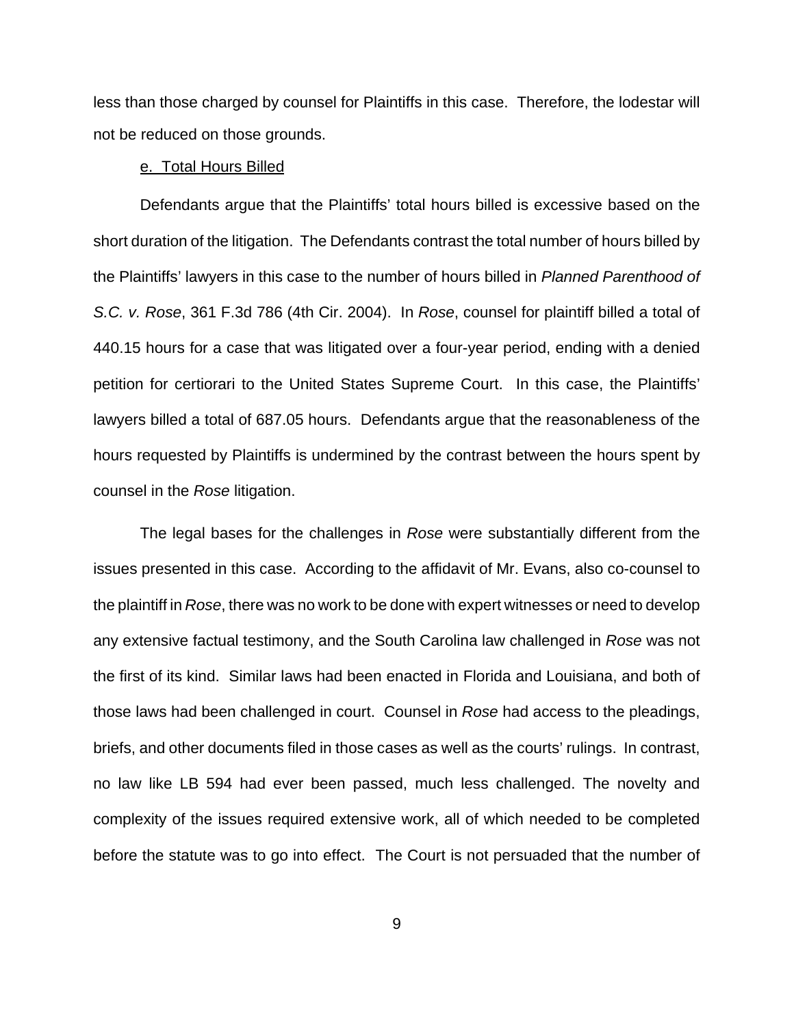less than those charged by counsel for Plaintiffs in this case. Therefore, the lodestar will not be reduced on those grounds.

### e. Total Hours Billed

Defendants argue that the Plaintiffs' total hours billed is excessive based on the short duration of the litigation. The Defendants contrast the total number of hours billed by the Plaintiffs' lawyers in this case to the number of hours billed in Planned Parenthood of S.C. v. Rose, 361 F.3d 786 (4th Cir. 2004). In Rose, counsel for plaintiff billed a total of 440.15 hours for a case that was litigated over a four-year period, ending with a denied petition for certiorari to the United States Supreme Court. In this case, the Plaintiffs' lawyers billed a total of 687.05 hours. Defendants argue that the reasonableness of the hours requested by Plaintiffs is undermined by the contrast between the hours spent by counsel in the Rose litigation.

The legal bases for the challenges in Rose were substantially different from the issues presented in this case. According to the affidavit of Mr. Evans, also co-counsel to the plaintiff in Rose, there was no work to be done with expert witnesses or need to develop any extensive factual testimony, and the South Carolina law challenged in Rose was not the first of its kind. Similar laws had been enacted in Florida and Louisiana, and both of those laws had been challenged in court. Counsel in Rose had access to the pleadings, briefs, and other documents filed in those cases as well as the courts' rulings. In contrast, no law like LB 594 had ever been passed, much less challenged. The novelty and complexity of the issues required extensive work, all of which needed to be completed before the statute was to go into effect. The Court is not persuaded that the number of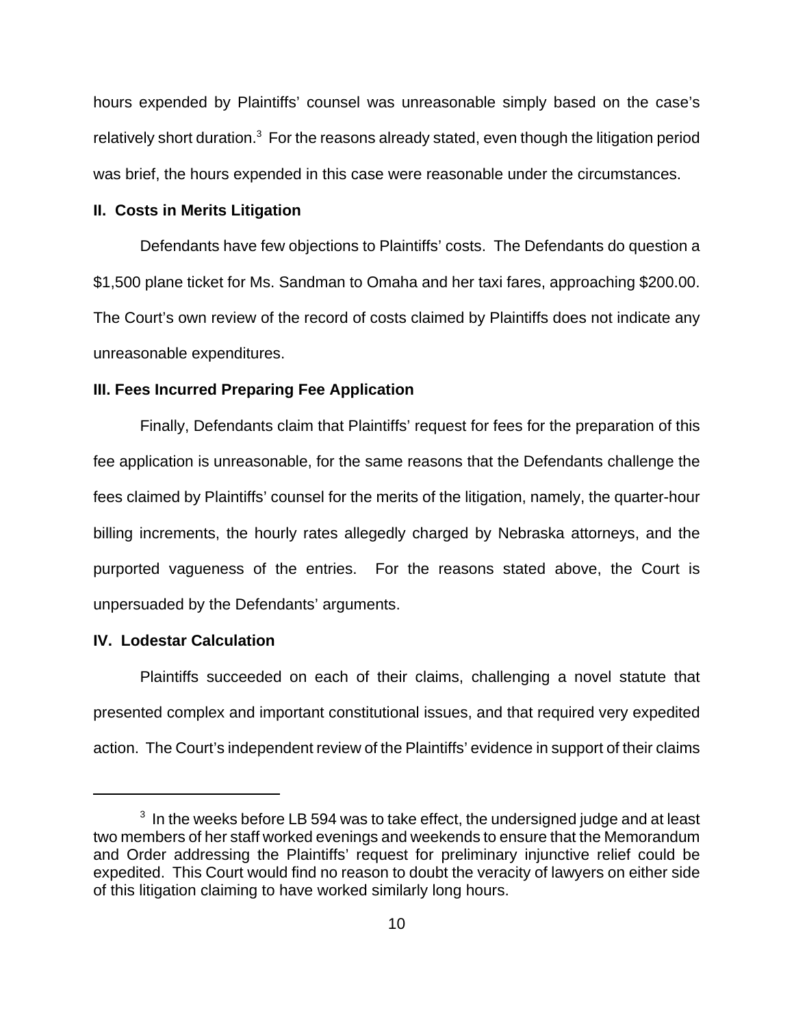hours expended by Plaintiffs' counsel was unreasonable simply based on the case's relatively short duration.<sup>3</sup> For the reasons already stated, even though the litigation period was brief, the hours expended in this case were reasonable under the circumstances.

### **II. Costs in Merits Litigation**

Defendants have few objections to Plaintiffs' costs. The Defendants do question a \$1,500 plane ticket for Ms. Sandman to Omaha and her taxi fares, approaching \$200.00. The Court's own review of the record of costs claimed by Plaintiffs does not indicate any unreasonable expenditures.

#### **III. Fees Incurred Preparing Fee Application**

Finally, Defendants claim that Plaintiffs' request for fees for the preparation of this fee application is unreasonable, for the same reasons that the Defendants challenge the fees claimed by Plaintiffs' counsel for the merits of the litigation, namely, the quarter-hour billing increments, the hourly rates allegedly charged by Nebraska attorneys, and the purported vagueness of the entries. For the reasons stated above, the Court is unpersuaded by the Defendants' arguments.

### **IV. Lodestar Calculation**

Plaintiffs succeeded on each of their claims, challenging a novel statute that presented complex and important constitutional issues, and that required very expedited action. The Court's independent review of the Plaintiffs' evidence in support of their claims

 $^{\rm 3}$  In the weeks before LB 594 was to take effect, the undersigned judge and at least two members of her staff worked evenings and weekends to ensure that the Memorandum and Order addressing the Plaintiffs' request for preliminary injunctive relief could be expedited. This Court would find no reason to doubt the veracity of lawyers on either side of this litigation claiming to have worked similarly long hours.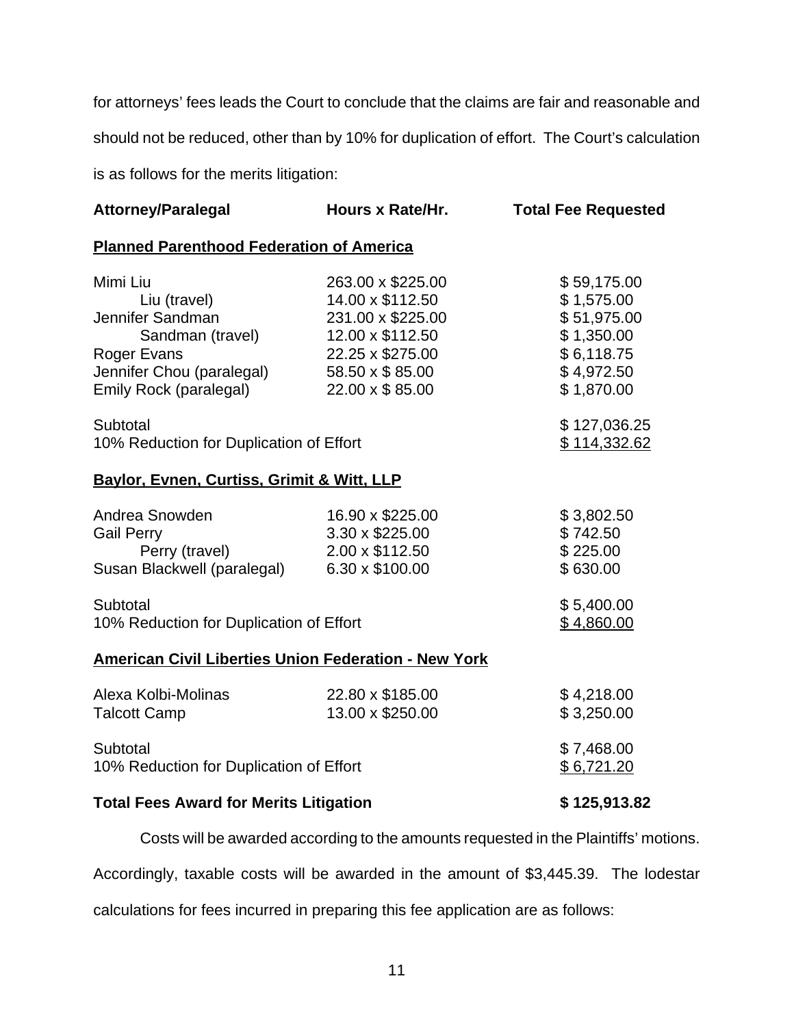for attorneys' fees leads the Court to conclude that the claims are fair and reasonable and should not be reduced, other than by 10% for duplication of effort. The Court's calculation is as follows for the merits litigation:

| <b>Attorney/Paralegal</b>                                   | Hours x Rate/Hr.  | <b>Total Fee Requested</b> |
|-------------------------------------------------------------|-------------------|----------------------------|
| <b>Planned Parenthood Federation of America</b>             |                   |                            |
| Mimi Liu                                                    | 263.00 x \$225.00 | \$59,175.00                |
| Liu (travel)                                                | 14.00 x \$112.50  | \$1,575.00                 |
| Jennifer Sandman                                            | 231.00 x \$225.00 | \$51,975.00                |
| Sandman (travel)                                            | 12.00 x \$112.50  | \$1,350.00                 |
| <b>Roger Evans</b>                                          | 22.25 x \$275.00  | \$6,118.75                 |
| Jennifer Chou (paralegal)                                   | 58.50 x \$ 85.00  | \$4,972.50                 |
| Emily Rock (paralegal)                                      | 22.00 x \$85.00   | \$1,870.00                 |
| Subtotal                                                    |                   | \$127,036.25               |
| 10% Reduction for Duplication of Effort                     |                   | \$114,332.62               |
| Baylor, Evnen, Curtiss, Grimit & Witt, LLP                  |                   |                            |
| Andrea Snowden                                              | 16.90 x \$225.00  | \$3,802.50                 |
| <b>Gail Perry</b>                                           | 3.30 x \$225.00   | \$742.50                   |
| Perry (travel)                                              | 2.00 x \$112.50   | \$225.00                   |
| Susan Blackwell (paralegal)                                 | 6.30 x \$100.00   | \$630.00                   |
| Subtotal                                                    |                   | \$5,400.00                 |
| 10% Reduction for Duplication of Effort                     |                   | \$4,860.00                 |
| <b>American Civil Liberties Union Federation - New York</b> |                   |                            |
| Alexa Kolbi-Molinas                                         | 22.80 x \$185.00  | \$4,218.00                 |
| <b>Talcott Camp</b>                                         | 13.00 x \$250.00  | \$3,250.00                 |
| Subtotal                                                    |                   | \$7,468.00                 |
| 10% Reduction for Duplication of Effort                     |                   | \$6,721.20                 |
| <b>Total Fees Award for Merits Litigation</b>               |                   | \$125,913.82               |

Costs will be awarded according to the amounts requested in the Plaintiffs' motions.

Accordingly, taxable costs will be awarded in the amount of \$3,445.39. The lodestar

calculations for fees incurred in preparing this fee application are as follows: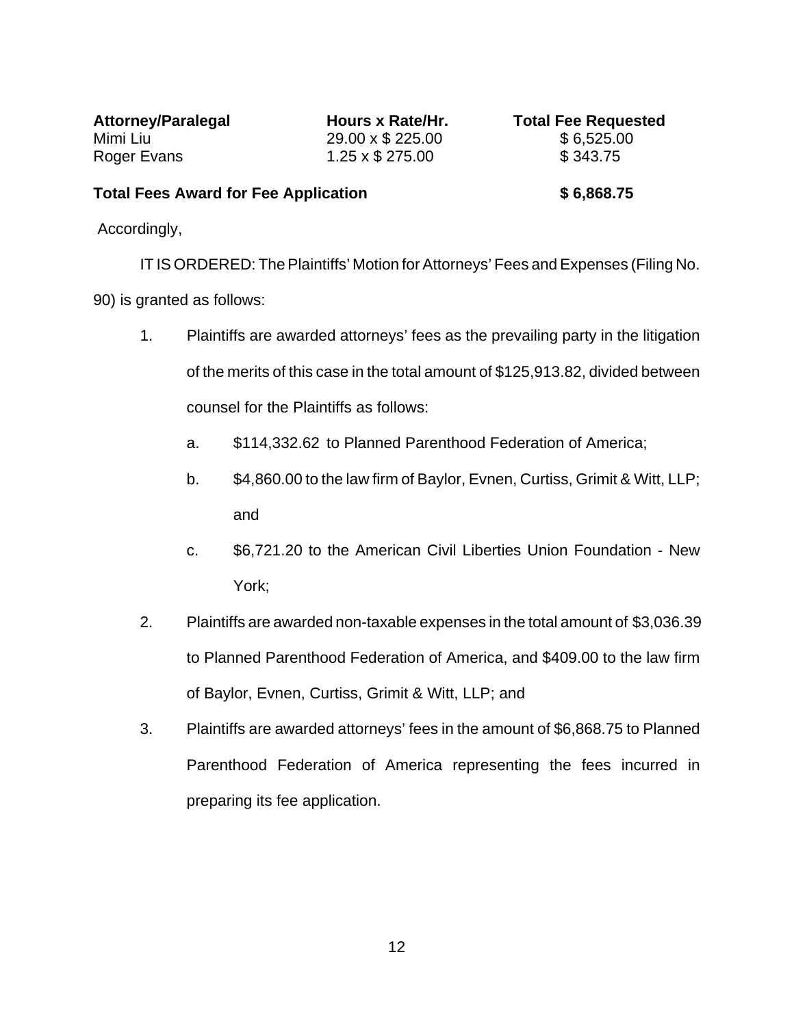Mimi Liu 29.00 x \$ 225.00 \$ 6,525.00 Roger Evans 1.25 x \$ 275.00 \$ 343.75

Attorney/Paralegal **Hours x Rate/Hr.** Total Fee Requested

## Total Fees Award for Fee Application **\$ 6,868.75**

Accordingly,

IT IS ORDERED: The Plaintiffs' Motion for Attorneys' Fees and Expenses (Filing No.

- 90) is granted as follows:
	- 1. Plaintiffs are awarded attorneys' fees as the prevailing party in the litigation of the merits of this case in the total amount of \$125,913.82, divided between counsel for the Plaintiffs as follows:
		- a. \$114,332.62 to Planned Parenthood Federation of America;
		- b. \$4,860.00 to the law firm of Baylor, Evnen, Curtiss, Grimit & Witt, LLP; and
		- c. \$6,721.20 to the American Civil Liberties Union Foundation New York;
	- 2. Plaintiffs are awarded non-taxable expenses in the total amount of \$3,036.39 to Planned Parenthood Federation of America, and \$409.00 to the law firm of Baylor, Evnen, Curtiss, Grimit & Witt, LLP; and
	- 3. Plaintiffs are awarded attorneys' fees in the amount of \$6,868.75 to Planned Parenthood Federation of America representing the fees incurred in preparing its fee application.